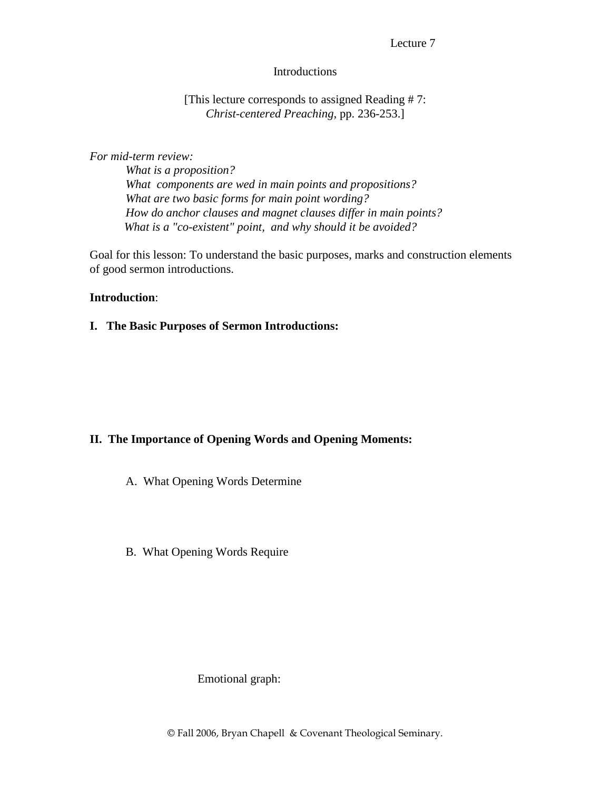#### Lecture 7

#### Introductions

#### [This lecture corresponds to assigned Reading # 7: *Christ-centered Preaching*, pp. 236-253.]

#### *For mid-term review:*

 *What is a proposition? What components are wed in main points and propositions? What are two basic forms for main point wording? How do anchor clauses and magnet clauses differ in main points? What is a "co-existent" point, and why should it be avoided?* 

Goal for this lesson: To understand the basic purposes, marks and construction elements of good sermon introductions.

#### **Introduction**:

**I. The Basic Purposes of Sermon Introductions:** 

## **II. The Importance of Opening Words and Opening Moments:**

- A. What Opening Words Determine
- B. What Opening Words Require

## Emotional graph: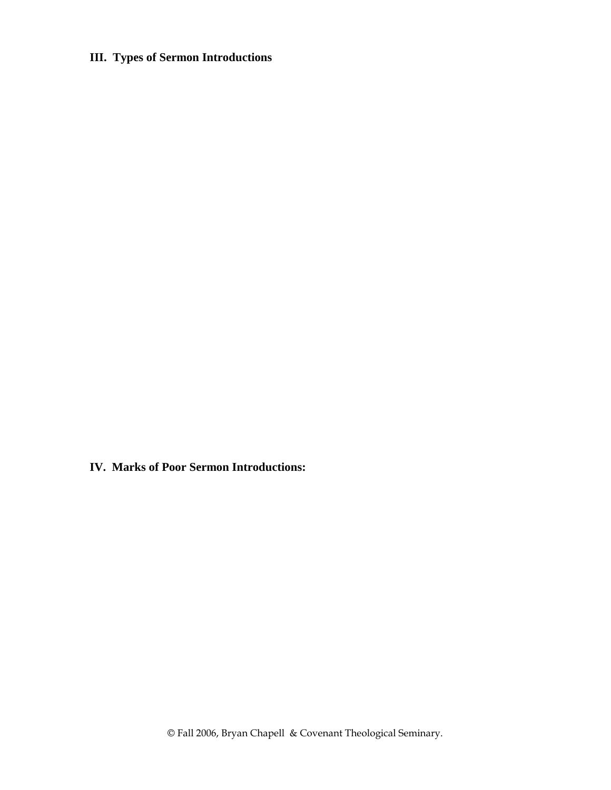# **III. Types of Sermon Introductions**

**IV. Marks of Poor Sermon Introductions:**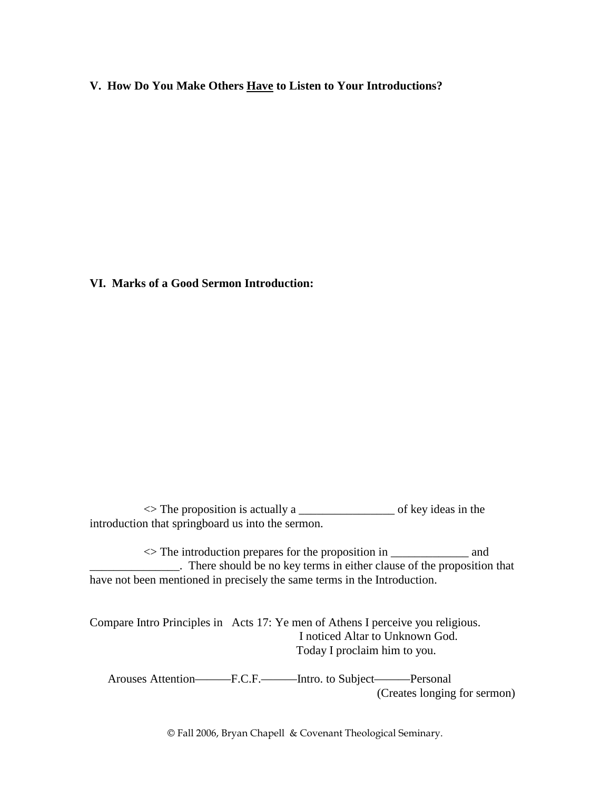**V. How Do You Make Others Have to Listen to Your Introductions?** 

**VI. Marks of a Good Sermon Introduction:** 

 $\le$  The proposition is actually a  $\qquad$  of key ideas in the introduction that springboard us into the sermon.

 $\le$  The introduction prepares for the proposition in  $\frac{1}{\sqrt{2}}$  and \_\_\_\_\_\_\_\_\_\_\_\_\_\_\_. There should be no key terms in either clause of the proposition that have not been mentioned in precisely the same terms in the Introduction.

Compare Intro Principles in Acts 17: Ye men of Athens I perceive you religious. I noticed Altar to Unknown God. Today I proclaim him to you.

 Arouses Attention———F.C.F.———Intro. to Subject———Personal (Creates longing for sermon)

© Fall 2006, Bryan Chapell & Covenant Theological Seminary.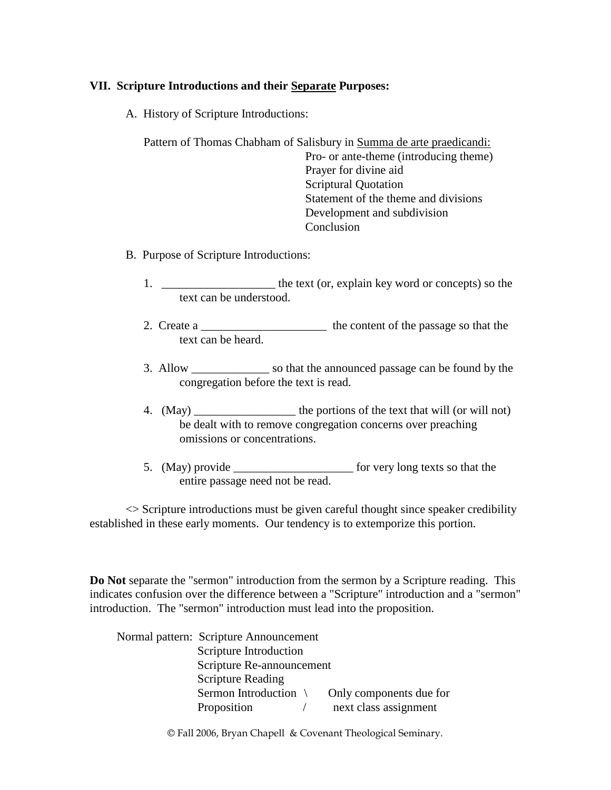## **VII. Scripture Introductions and their Separate Purposes:**

A. History of Scripture Introductions:

 Pattern of Thomas Chabham of Salisbury in Summa de arte praedicandi: Pro- or ante-theme (introducing theme) Prayer for divine aid Scriptural Quotation Statement of the theme and divisions Development and subdivision Conclusion

- B. Purpose of Scripture Introductions:
	- 1. \_\_\_\_\_\_\_\_\_\_\_\_\_\_\_\_\_\_\_\_\_\_ the text (or, explain key word or concepts) so the text can be understood.
	- 2. Create a \_\_\_\_\_\_\_\_\_\_\_\_\_\_\_\_\_\_\_\_\_\_\_\_\_\_\_\_\_\_ the content of the passage so that the text can be heard.
	- 3. Allow so that the announced passage can be found by the congregation before the text is read.
	- 4. (May) \_\_\_\_\_\_\_\_\_\_\_\_\_\_\_\_\_ the portions of the text that will (or will not) be dealt with to remove congregation concerns over preaching omissions or concentrations.
	- 5. (May) provide \_\_\_\_\_\_\_\_\_\_\_\_\_\_\_\_\_\_\_\_\_\_\_\_\_\_\_\_\_ for very long texts so that the entire passage need not be read.

 $\leq$  Scripture introductions must be given careful thought since speaker credibility established in these early moments. Our tendency is to extemporize this portion.

**Do Not** separate the "sermon" introduction from the sermon by a Scripture reading. This indicates confusion over the difference between a "Scripture" introduction and a "sermon" introduction. The "sermon" introduction must lead into the proposition.

| Normal pattern: Scripture Announcement |                         |
|----------------------------------------|-------------------------|
| Scripture Introduction                 |                         |
| Scripture Re-announcement              |                         |
| <b>Scripture Reading</b>               |                         |
| Sermon Introduction                    | Only components due for |
| Proposition                            | next class assignment   |

© Fall 2006, Bryan Chapell & Covenant Theological Seminary.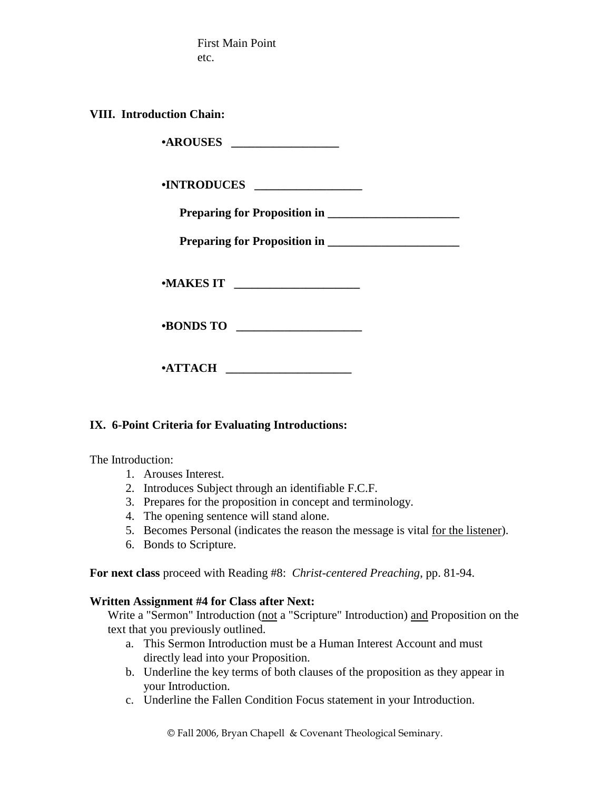First Main Point etc.

**VIII. Introduction Chain:** 

 **•AROUSES \_\_\_\_\_\_\_\_\_\_\_\_\_\_\_\_\_\_** 

 **•INTRODUCES \_\_\_\_\_\_\_\_\_\_\_\_\_\_\_\_\_\_** 

 **Preparing for Proposition in \_\_\_\_\_\_\_\_\_\_\_\_\_\_\_\_\_\_\_\_\_\_** 

 **Preparing for Proposition in \_\_\_\_\_\_\_\_\_\_\_\_\_\_\_\_\_\_\_\_\_\_** 

 **•MAKES IT \_\_\_\_\_\_\_\_\_\_\_\_\_\_\_\_\_\_\_\_\_** 

 **•BONDS TO \_\_\_\_\_\_\_\_\_\_\_\_\_\_\_\_\_\_\_\_\_** 

 **•ATTACH \_\_\_\_\_\_\_\_\_\_\_\_\_\_\_\_\_\_\_\_\_** 

## **IX. 6-Point Criteria for Evaluating Introductions:**

The Introduction:

- 1. Arouses Interest.
- 2. Introduces Subject through an identifiable F.C.F.
- 3. Prepares for the proposition in concept and terminology.
- 4. The opening sentence will stand alone.
- 5. Becomes Personal (indicates the reason the message is vital for the listener).
- 6. Bonds to Scripture.

**For next class** proceed with Reading #8: *Christ-centered Preaching*, pp. 81-94.

## **Written Assignment #4 for Class after Next:**

Write a "Sermon" Introduction (not a "Scripture" Introduction) and Proposition on the text that you previously outlined.

- a. This Sermon Introduction must be a Human Interest Account and must directly lead into your Proposition.
- b. Underline the key terms of both clauses of the proposition as they appear in your Introduction.
- c. Underline the Fallen Condition Focus statement in your Introduction.

© Fall 2006, Bryan Chapell & Covenant Theological Seminary.